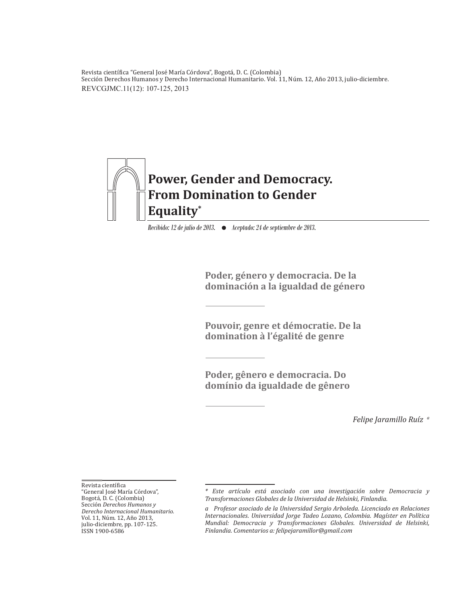REVCGJMC.11(12): 107-125, 2013 Revista científica "General José María Córdova", Bogotá, D. C. (Colombia)<br>Generál Demokrat U. Córdova - Demokrat Julius Cordova III. Sección Derechos Humanos y Derecho Internacional Humanitario. Vol. 11, Núm. 12, Año 2013, julio-diciembre.



*Recibido: 12 de julio de 2013. Aceptado: 24 de septiembre de 2013.*

**Poder, género y democracia. De la dominación a la igualdad de género**

**Pouvoir, genre et démocratie. De la domination à l'égalité de genre**

**Poder, gênero e democracia. Do domínio da igualdade de gênero**

*Felipe Jaramillo Ruíz a*

Revista científica

<sup>&</sup>quot;General José María Córdova", Bogotá, D. C. (Colombia) Sección *Derechos Humanos y Derecho Internacional Humanitario.* Vol. 11, Núm. 12, Año 2013, julio-diciembre, pp. 107-125. ISSN 1900-6586

*<sup>\*</sup> Este artículo está asociado con una investigación sobre Democracia y Transformaciones Globales de la Universidad de Helsinki, Finlandia.* 

*a Profesor asociado de la Universidad Sergio Arboleda. Licenciado en Relaciones Internacionales. Universidad Jorge Tadeo Lozano, Colombia. Magíster en Política Mundial: Democracia y Transformaciones Globales. Universidad de Helsinki, Finlandia. Comentarios a: felipejaramillor@gmail.com*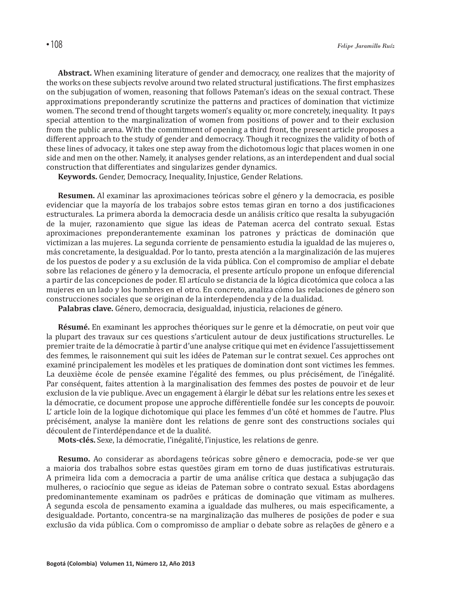**Abstract.** When examining literature of gender and democracy, one realizes that the majority of the works on these subjects revolve around two related structural justifications. The first emphasizes on the subjugation of women, reasoning that follows Pateman's ideas on the sexual contract. These approximations preponderantly scrutinize the patterns and practices of domination that victimize women. The second trend of thought targets women's equality or, more concretely, inequality. It pays special attention to the marginalization of women from positions of power and to their exclusion from the public arena. With the commitment of opening a third front, the present article proposes a different approach to the study of gender and democracy. Though it recognizes the validity of both of these lines of advocacy, it takes one step away from the dichotomous logic that places women in one side and men on the other. Namely, it analyses gender relations, as an interdependent and dual social construction that differentiates and singularizes gender dynamics.

**Keywords.** Gender, Democracy, Inequality, Injustice, Gender Relations.

**Resumen.** Al examinar las aproximaciones teóricas sobre el género y la democracia, es posible evidenciar que la mayoría de los trabajos sobre estos temas giran en torno a dos justificaciones estructurales. La primera aborda la democracia desde un análisis crítico que resalta la subyugación de la mujer, razonamiento que sigue las ideas de Pateman acerca del contrato sexual. Estas aproximaciones preponderantemente examinan los patrones y prácticas de dominación que victimizan a las mujeres. La segunda corriente de pensamiento estudia la igualdad de las mujeres o, más concretamente, la desigualdad. Por lo tanto, presta atención a la marginalización de las mujeres de los puestos de poder y a su exclusión de la vida pública. Con el compromiso de ampliar el debate sobre las relaciones de género y la democracia, el presente artículo propone un enfoque diferencial a partir de las concepciones de poder. El artículo se distancia de la lógica dicotómica que coloca a las mujeres en un lado y los hombres en el otro. En concreto, analiza cómo las relaciones de género son construcciones sociales que se originan de la interdependencia y de la dualidad.

**Palabras clave.** Género, democracia, desigualdad, injusticia, relaciones de género.

**Résumé.** En examinant les approches théoriques sur le genre et la démocratie, on peut voir que la plupart des travaux sur ces questions s'articulent autour de deux justifications structurelles. Le premier traite de la démocratie à partir d'une analyse critique qui met en évidence l'assujettissement des femmes, le raisonnement qui suit les idées de Pateman sur le contrat sexuel. Ces approches ont examiné principalement les modèles et les pratiques de domination dont sont victimes les femmes. La deuxième école de pensée examine l'égalité des femmes, ou plus précisément, de l'inégalité. Par conséquent, faites attention à la marginalisation des femmes des postes de pouvoir et de leur exclusion de la vie publique. Avec un engagement à élargir le débat sur les relations entre les sexes et la démocratie, ce document propose une approche différentielle fondée sur les concepts de pouvoir. L' article loin de la logique dichotomique qui place les femmes d'un côté et hommes de l'autre. Plus précisément, analyse la manière dont les relations de genre sont des constructions sociales qui découlent de l'interdépendance et de la dualité.

**Mots-clés.** Sexe, la démocratie, l'inégalité, l'injustice, les relations de genre.

**Resumo.** Ao considerar as abordagens teóricas sobre gênero e democracia, pode-se ver que a maioria dos trabalhos sobre estas questões giram em torno de duas justificativas estruturais. A primeira lida com a democracia a partir de uma análise crítica que destaca a subjugação das mulheres, o raciocínio que segue as ideias de Pateman sobre o contrato sexual. Estas abordagens predominantemente examinam os padrões e práticas de dominação que vitimam as mulheres. A segunda escola de pensamento examina a igualdade das mulheres, ou mais especificamente, a desigualdade. Portanto, concentra-se na marginalização das mulheres de posições de poder e sua exclusão da vida pública. Com o compromisso de ampliar o debate sobre as relações de gênero e a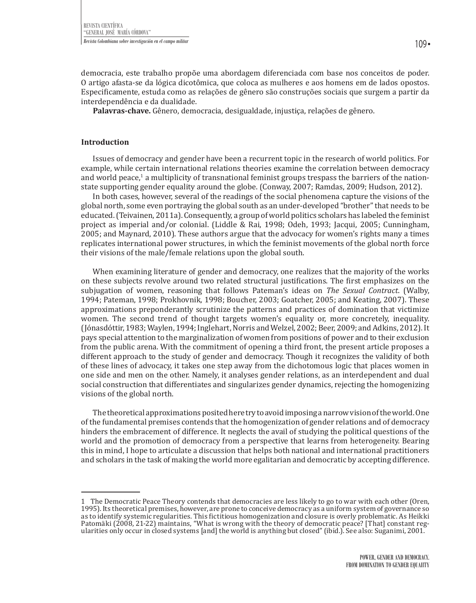democracia, este trabalho propõe uma abordagem diferenciada com base nos conceitos de poder. O artigo afasta-se da lógica dicotômica, que coloca as mulheres e aos homens em de lados opostos. Especificamente, estuda como as relações de gênero são construções sociais que surgem a partir da interdependência e da dualidade.

**Palavras-chave.** Gênero, democracia, desigualdade, injustiça, relações de gênero.

#### **Introduction**

Issues of democracy and gender have been a recurrent topic in the research of world politics. For example, while certain international relations theories examine the correlation between democracy and world peace,<sup>1</sup> a multiplicity of transnational feminist groups trespass the barriers of the nationstate supporting gender equality around the globe. (Conway, 2007; Ramdas, 2009; Hudson, 2012).

In both cases, however, several of the readings of the social phenomena capture the visions of the global north, some even portraying the global south as an under-developed "brother" that needs to be educated. (Teivainen, 2011a). Consequently, a group of world politics scholars has labeled the feminist project as imperial and/or colonial. (Liddle & Rai, 1998; Odeh, 1993; Jacqui, 2005; Cunningham, 2005; and Maynard, 2010). These authors argue that the advocacy for women's rights many a times replicates international power structures, in which the feminist movements of the global north force their visions of the male/female relations upon the global south.

When examining literature of gender and democracy, one realizes that the majority of the works on these subjects revolve around two related structural justifications. The first emphasizes on the subjugation of women, reasoning that follows Pateman's ideas on *The Sexual Contract*. (Walby, 1994; Pateman, 1998; Prokhovnik, 1998; Boucher, 2003; Goatcher, 2005; and Keating, 2007). These approximations preponderantly scrutinize the patterns and practices of domination that victimize women. The second trend of thought targets women's equality or, more concretely, inequality. (Jónasdóttir, 1983; Waylen, 1994; Inglehart, Norris and Welzel, 2002; Beer, 2009; and Adkins, 2012). It pays special attention to the marginalization of women from positions of power and to their exclusion from the public arena. With the commitment of opening a third front, the present article proposes a different approach to the study of gender and democracy. Though it recognizes the validity of both of these lines of advocacy, it takes one step away from the dichotomous logic that places women in one side and men on the other. Namely, it analyses gender relations, as an interdependent and dual social construction that differentiates and singularizes gender dynamics, rejecting the homogenizing visions of the global north.

The theoretical approximations posited here try to avoid imposing a narrow vision of the world. One of the fundamental premises contends that the homogenization of gender relations and of democracy hinders the embracement of difference. It neglects the avail of studying the political questions of the world and the promotion of democracy from a perspective that learns from heterogeneity. Bearing this in mind, I hope to articulate a discussion that helps both national and international practitioners and scholars in the task of making the world more egalitarian and democratic by accepting difference.

<sup>1</sup> The Democratic Peace Theory contends that democracies are less likely to go to war with each other (Oren, 1995). Its theoretical premises, however, are prone to conceive democracy as a uniform system of governance so as to identify systemic regularities. This fictitious homogenization and closure is overly problematic. As Heikki Patomäki (2008, 21-22) maintains, "What is wrong with the theory of democratic peace? [That] constant regularities only occur in closed systems [and] the world is anything but closed" (ibíd.). See also: Suganimi, 2001.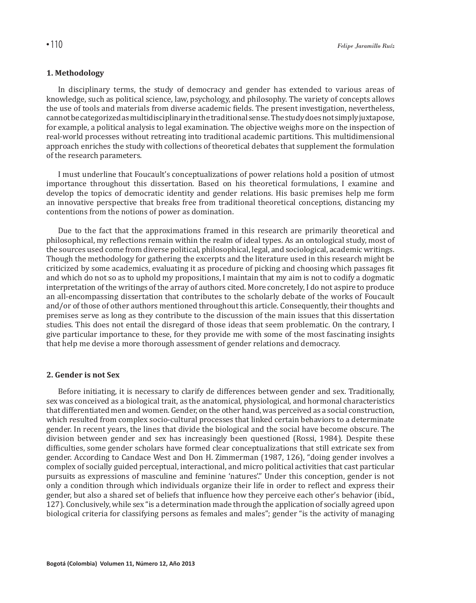# **1. Methodology**

In disciplinary terms, the study of democracy and gender has extended to various areas of knowledge, such as political science, law, psychology, and philosophy. The variety of concepts allows the use of tools and materials from diverse academic fields. The present investigation, nevertheless, cannot be categorized as multidisciplinary in the traditional sense. The study does not simply juxtapose, for example, a political analysis to legal examination. The objective weighs more on the inspection of real-world processes without retreating into traditional academic partitions. This multidimensional approach enriches the study with collections of theoretical debates that supplement the formulation of the research parameters.

I must underline that Foucault's conceptualizations of power relations hold a position of utmost importance throughout this dissertation. Based on his theoretical formulations, I examine and develop the topics of democratic identity and gender relations. His basic premises help me form an innovative perspective that breaks free from traditional theoretical conceptions, distancing my contentions from the notions of power as domination.

Due to the fact that the approximations framed in this research are primarily theoretical and philosophical, my reflections remain within the realm of ideal types. As an ontological study, most of the sources used come from diverse political, philosophical, legal, and sociological, academic writings. Though the methodology for gathering the excerpts and the literature used in this research might be criticized by some academics, evaluating it as procedure of picking and choosing which passages fit and which do not so as to uphold my propositions, I maintain that my aim is not to codify a dogmatic interpretation of the writings of the array of authors cited. More concretely, I do not aspire to produce an all-encompassing dissertation that contributes to the scholarly debate of the works of Foucault and/or of those of other authors mentioned throughout this article. Consequently, their thoughts and premises serve as long as they contribute to the discussion of the main issues that this dissertation studies. This does not entail the disregard of those ideas that seem problematic. On the contrary, I give particular importance to these, for they provide me with some of the most fascinating insights that help me devise a more thorough assessment of gender relations and democracy.

#### **2. Gender is not Sex**

Before initiating, it is necessary to clarify de differences between gender and sex. Traditionally, sex was conceived as a biological trait, as the anatomical, physiological, and hormonal characteristics that differentiated men and women. Gender, on the other hand, was perceived as a social construction, which resulted from complex socio-cultural processes that linked certain behaviors to a determinate gender. In recent years, the lines that divide the biological and the social have become obscure. The division between gender and sex has increasingly been questioned (Rossi, 1984). Despite these difficulties, some gender scholars have formed clear conceptualizations that still extricate sex from gender. According to Candace West and Don H. Zimmerman (1987, 126), "doing gender involves a complex of socially guided perceptual, interactional, and micro political activities that cast particular pursuits as expressions of masculine and feminine 'natures'." Under this conception, gender is not only a condition through which individuals organize their life in order to reflect and express their gender, but also a shared set of beliefs that influence how they perceive each other's behavior (ibíd., 127). Conclusively, while sex "is a determination made through the application of socially agreed upon biological criteria for classifying persons as females and males"; gender "is the activity of managing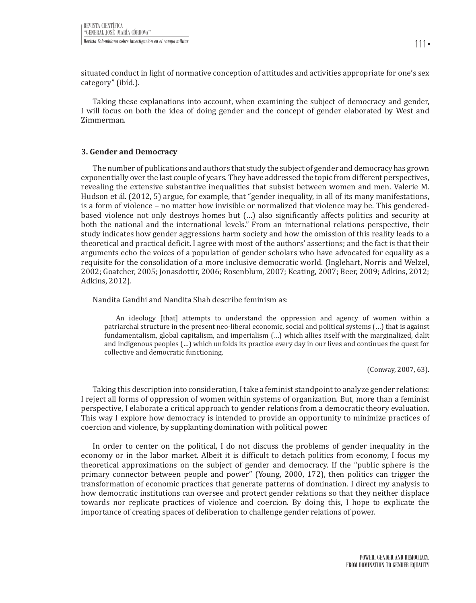situated conduct in light of normative conception of attitudes and activities appropriate for one's sex category" (ibíd.).

Taking these explanations into account, when examining the subject of democracy and gender, I will focus on both the idea of doing gender and the concept of gender elaborated by West and Zimmerman.

### **3. Gender and Democracy**

The number of publications and authors that study the subject of gender and democracy has grown exponentially over the last couple of years. They have addressed the topic from different perspectives, revealing the extensive substantive inequalities that subsist between women and men. Valerie M. Hudson et ál. (2012, 5) argue, for example, that "gender inequality, in all of its many manifestations, is a form of violence – no matter how invisible or normalized that violence may be. This genderedbased violence not only destroys homes but (…) also significantly affects politics and security at both the national and the international levels." From an international relations perspective, their study indicates how gender aggressions harm society and how the omission of this reality leads to a theoretical and practical deficit. I agree with most of the authors' assertions; and the fact is that their arguments echo the voices of a population of gender scholars who have advocated for equality as a requisite for the consolidation of a more inclusive democratic world. (Inglehart, Norris and Welzel, 2002; Goatcher, 2005; Jonasdottir, 2006; Rosenblum, 2007; Keating, 2007; Beer, 2009; Adkins, 2012; Adkins, 2012).

Nandita Gandhi and Nandita Shah describe feminism as:

An ideology [that] attempts to understand the oppression and agency of women within a patriarchal structure in the present neo-liberal economic, social and political systems (…) that is against fundamentalism, global capitalism, and imperialism (…) which allies itself with the marginalized, dalit and indigenous peoples (…) which unfolds its practice every day in our lives and continues the quest for collective and democratic functioning.

(Conway, 2007, 63).

Taking this description into consideration, I take a feminist standpoint to analyze gender relations: I reject all forms of oppression of women within systems of organization. But, more than a feminist perspective, I elaborate a critical approach to gender relations from a democratic theory evaluation. This way I explore how democracy is intended to provide an opportunity to minimize practices of coercion and violence, by supplanting domination with political power.

In order to center on the political, I do not discuss the problems of gender inequality in the economy or in the labor market. Albeit it is difficult to detach politics from economy, I focus my theoretical approximations on the subject of gender and democracy. If the "public sphere is the primary connector between people and power" (Young, 2000, 172), then politics can trigger the transformation of economic practices that generate patterns of domination. I direct my analysis to how democratic institutions can oversee and protect gender relations so that they neither displace towards nor replicate practices of violence and coercion. By doing this, I hope to explicate the importance of creating spaces of deliberation to challenge gender relations of power.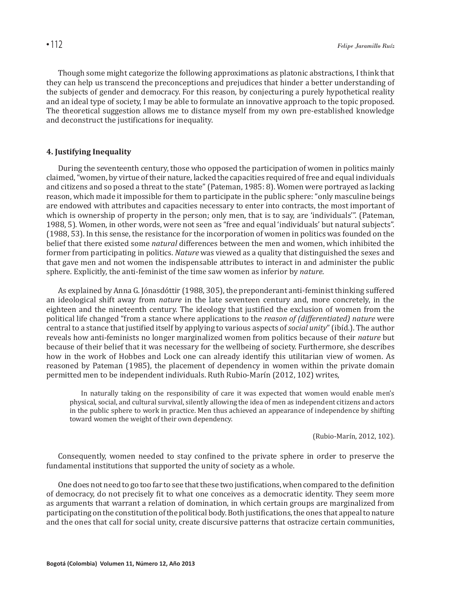Though some might categorize the following approximations as platonic abstractions, I think that they can help us transcend the preconceptions and prejudices that hinder a better understanding of the subjects of gender and democracy. For this reason, by conjecturing a purely hypothetical reality and an ideal type of society, I may be able to formulate an innovative approach to the topic proposed. The theoretical suggestion allows me to distance myself from my own pre-established knowledge and deconstruct the justifications for inequality.

### **4. Justifying Inequality**

During the seventeenth century, those who opposed the participation of women in politics mainly claimed, "women, by virtue of their nature, lacked the capacities required of free and equal individuals and citizens and so posed a threat to the state" (Pateman, 1985: 8). Women were portrayed as lacking reason, which made it impossible for them to participate in the public sphere: "only masculine beings are endowed with attributes and capacities necessary to enter into contracts, the most important of which is ownership of property in the person; only men, that is to say, are 'individuals'". (Pateman, 1988, 5). Women, in other words, were not seen as "free and equal 'individuals' but natural subjects". (1988, 53). In this sense, the resistance for the incorporation of women in politics was founded on the belief that there existed some *natural* differences between the men and women, which inhibited the former from participating in politics. *Nature* was viewed as a quality that distinguished the sexes and that gave men and not women the indispensable attributes to interact in and administer the public sphere. Explicitly, the anti-feminist of the time saw women as inferior by *nature*.

As explained by Anna G. Jónasdóttir (1988, 305), the preponderant anti-feminist thinking suffered an ideological shift away from *nature* in the late seventeen century and, more concretely, in the eighteen and the nineteenth century. The ideology that justified the exclusion of women from the political life changed "from a stance where applications to the *reason of (differentiated) nature* were central to a stance that justified itself by applying to various aspects of *social unity*" (ibíd.). The author reveals how anti-feminists no longer marginalized women from politics because of their *nature* but because of their belief that it was necessary for the wellbeing of society. Furthermore, she describes how in the work of Hobbes and Lock one can already identify this utilitarian view of women. As reasoned by Pateman (1985), the placement of dependency in women within the private domain permitted men to be independent individuals. Ruth Rubio-Marín (2012, 102) writes,

In naturally taking on the responsibility of care it was expected that women would enable men's physical, social, and cultural survival, silently allowing the idea of men as independent citizens and actors in the public sphere to work in practice. Men thus achieved an appearance of independence by shifting toward women the weight of their own dependency.

(Rubio-Marín, 2012, 102).

Consequently, women needed to stay confined to the private sphere in order to preserve the fundamental institutions that supported the unity of society as a whole.

One does not need to go too far to see that these two justifications, when compared to the definition of democracy, do not precisely fit to what one conceives as a democratic identity. They seem more as arguments that warrant a relation of domination, in which certain groups are marginalized from participating on the constitution of the political body. Both justifications, the ones that appeal to nature and the ones that call for social unity, create discursive patterns that ostracize certain communities,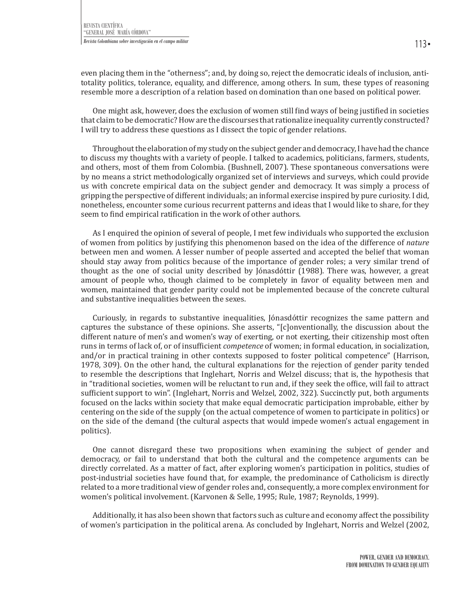even placing them in the "otherness"; and, by doing so, reject the democratic ideals of inclusion, antitotality politics, tolerance, equality, and difference, among others. In sum, these types of reasoning resemble more a description of a relation based on domination than one based on political power.

One might ask, however, does the exclusion of women still find ways of being justified in societies that claim to be democratic? How are the discourses that rationalize inequality currently constructed? I will try to address these questions as I dissect the topic of gender relations.

Throughout the elaboration of my study on the subject gender and democracy, I have had the chance to discuss my thoughts with a variety of people. I talked to academics, politicians, farmers, students, and others, most of them from Colombia. (Bushnell, 2007). These spontaneous conversations were by no means a strict methodologically organized set of interviews and surveys, which could provide us with concrete empirical data on the subject gender and democracy. It was simply a process of gripping the perspective of different individuals; an informal exercise inspired by pure curiosity. I did, nonetheless, encounter some curious recurrent patterns and ideas that I would like to share, for they seem to find empirical ratification in the work of other authors.

As I enquired the opinion of several of people, I met few individuals who supported the exclusion of women from politics by justifying this phenomenon based on the idea of the difference of *nature* between men and women. A lesser number of people asserted and accepted the belief that woman should stay away from politics because of the importance of gender roles; a very similar trend of thought as the one of social unity described by Jónasdóttir (1988). There was, however, a great amount of people who, though claimed to be completely in favor of equality between men and women, maintained that gender parity could not be implemented because of the concrete cultural and substantive inequalities between the sexes.

Curiously, in regards to substantive inequalities, Jónasdóttir recognizes the same pattern and captures the substance of these opinions. She asserts, "[c]onventionally, the discussion about the different nature of men's and women's way of exerting, or not exerting, their citizenship most often runs in terms of lack of, or of insufficient *competence* of women; in formal education, in socialization, and/or in practical training in other contexts supposed to foster political competence" (Harrison, 1978, 309). On the other hand, the cultural explanations for the rejection of gender parity tended to resemble the descriptions that Inglehart, Norris and Welzel discuss; that is, the hypothesis that in "traditional societies, women will be reluctant to run and, if they seek the office, will fail to attract sufficient support to win". (Inglehart, Norris and Welzel, 2002, 322). Succinctly put, both arguments focused on the lacks within society that make equal democratic participation improbable, either by centering on the side of the supply (on the actual competence of women to participate in politics) or on the side of the demand (the cultural aspects that would impede women's actual engagement in politics).

One cannot disregard these two propositions when examining the subject of gender and democracy, or fail to understand that both the cultural and the competence arguments can be directly correlated. As a matter of fact, after exploring women's participation in politics, studies of post-industrial societies have found that, for example, the predominance of Catholicism is directly related to a more traditional view of gender roles and, consequently, a more complex environment for women's political involvement. (Karvonen & Selle, 1995; Rule, 1987; Reynolds, 1999).

Additionally, it has also been shown that factors such as culture and economy affect the possibility of women's participation in the political arena. As concluded by Inglehart, Norris and Welzel (2002,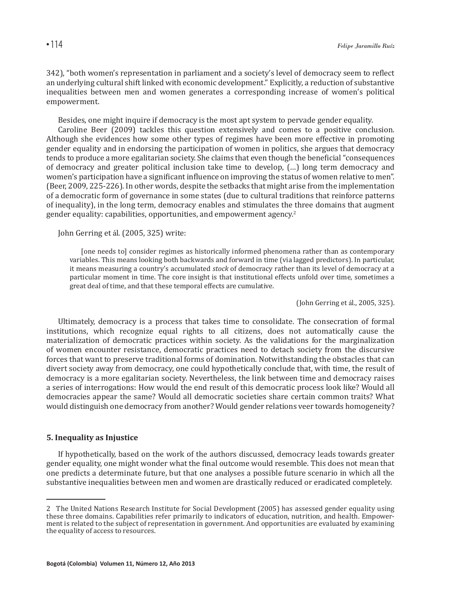342), "both women's representation in parliament and a society's level of democracy seem to reflect an underlying cultural shift linked with economic development." Explicitly, a reduction of substantive inequalities between men and women generates a corresponding increase of women's political empowerment.

Besides, one might inquire if democracy is the most apt system to pervade gender equality.

Caroline Beer (2009) tackles this question extensively and comes to a positive conclusion. Although she evidences how some other types of regimes have been more effective in promoting gender equality and in endorsing the participation of women in politics, she argues that democracy tends to produce a more egalitarian society. She claims that even though the beneficial "consequences of democracy and greater political inclusion take time to develop, (…) long term democracy and women's participation have a significant influence on improving the status of women relative to men". (Beer, 2009, 225-226). In other words, despite the setbacks that might arise from the implementation of a democratic form of governance in some states (due to cultural traditions that reinforce patterns of inequality), in the long term, democracy enables and stimulates the three domains that augment gender equality: capabilities, opportunities, and empowerment agency.<sup>2</sup>

John Gerring et ál. (2005, 325) write:

[one needs to] consider regimes as historically informed phenomena rather than as contemporary variables. This means looking both backwards and forward in time (via lagged predictors). In particular, it means measuring a country's accumulated *stock* of democracy rather than its level of democracy at a particular moment in time. The core insight is that institutional effects unfold over time, sometimes a great deal of time, and that these temporal effects are cumulative.

(John Gerring et ál., 2005, 325).

Ultimately, democracy is a process that takes time to consolidate. The consecration of formal institutions, which recognize equal rights to all citizens, does not automatically cause the materialization of democratic practices within society. As the validations for the marginalization of women encounter resistance, democratic practices need to detach society from the discursive forces that want to preserve traditional forms of domination. Notwithstanding the obstacles that can divert society away from democracy, one could hypothetically conclude that, with time, the result of democracy is a more egalitarian society. Nevertheless, the link between time and democracy raises a series of interrogations: How would the end result of this democratic process look like? Would all democracies appear the same? Would all democratic societies share certain common traits? What would distinguish one democracy from another? Would gender relations veer towards homogeneity?

## **5. Inequality as Injustice**

If hypothetically, based on the work of the authors discussed, democracy leads towards greater gender equality, one might wonder what the final outcome would resemble. This does not mean that one predicts a determinate future, but that one analyses a possible future scenario in which all the substantive inequalities between men and women are drastically reduced or eradicated completely.

<sup>2</sup> The United Nations Research Institute for Social Development (2005) has assessed gender equality using these three domains. Capabilities refer primarily to indicators of education, nutrition, and health. Empowerment is related to the subject of representation in government. And opportunities are evaluated by examining the equality of access to resources.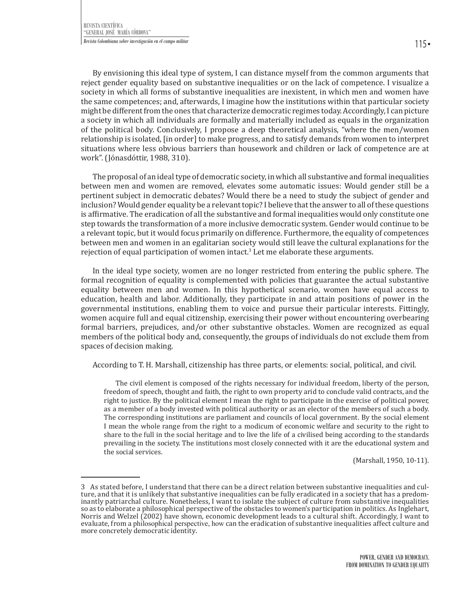By envisioning this ideal type of system, I can distance myself from the common arguments that reject gender equality based on substantive inequalities or on the lack of competence. I visualize a society in which all forms of substantive inequalities are inexistent, in which men and women have the same competences; and, afterwards, I imagine how the institutions within that particular society might be different from the ones that characterize democratic regimes today. Accordingly, I can picture a society in which all individuals are formally and materially included as equals in the organization of the political body. Conclusively, I propose a deep theoretical analysis, "where the men/women relationship is isolated, [in order] to make progress, and to satisfy demands from women to interpret situations where less obvious barriers than housework and children or lack of competence are at work". (Jónasdóttir, 1988, 310).

The proposal of an ideal type of democratic society, in which all substantive and formal inequalities between men and women are removed, elevates some automatic issues: Would gender still be a pertinent subject in democratic debates? Would there be a need to study the subject of gender and inclusion? Would gender equality be a relevant topic? I believe that the answer to all of these questions is affirmative. The eradication of all the substantive and formal inequalities would only constitute one step towards the transformation of a more inclusive democratic system. Gender would continue to be a relevant topic, but it would focus primarily on difference. Furthermore, the equality of competences between men and women in an egalitarian society would still leave the cultural explanations for the rejection of equal participation of women intact.<sup>3</sup> Let me elaborate these arguments.

In the ideal type society, women are no longer restricted from entering the public sphere. The formal recognition of equality is complemented with policies that guarantee the actual substantive equality between men and women. In this hypothetical scenario, women have equal access to education, health and labor. Additionally, they participate in and attain positions of power in the governmental institutions, enabling them to voice and pursue their particular interests. Fittingly, women acquire full and equal citizenship, exercising their power without encountering overbearing formal barriers, prejudices, and/or other substantive obstacles. Women are recognized as equal members of the political body and, consequently, the groups of individuals do not exclude them from spaces of decision making.

According to T. H. Marshall, citizenship has three parts, or elements: social, political, and civil.

The civil element is composed of the rights necessary for individual freedom, liberty of the person, freedom of speech, thought and faith, the right to own property arid to conclude valid contracts, and the right to justice. By the political element I mean the right to participate in the exercise of political power, as a member of a body invested with political authority or as an elector of the members of such a body. The corresponding institutions are parliament and councils of local government. By the social element I mean the whole range from the right to a modicum of economic welfare and security to the right to share to the full in the social heritage and to live the life of a civilised being according to the standards prevailing in the society. The institutions most closely connected with it are the educational system and the social services.

(Marshall, 1950, 10-11).

<sup>3</sup> As stated before, I understand that there can be a direct relation between substantive inequalities and culture, and that it is unlikely that substantive inequalities can be fully eradicated in a society that has a predominantly patriarchal culture. Nonetheless, I want to isolate the subject of culture from substantive inequalities so as to elaborate a philosophical perspective of the obstacles to women's participation in politics. As Inglehart, Norris and Welzel (2002) have shown, economic development leads to a cultural shift. Accordingly, I want to evaluate, from a philosophical perspective, how can the eradication of substantive inequalities affect culture and more concretely democratic identity.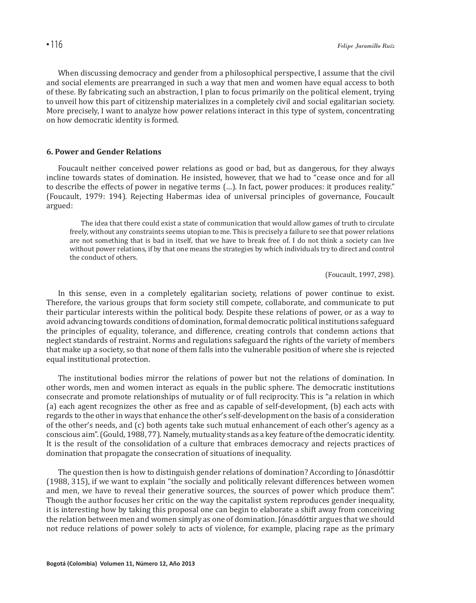When discussing democracy and gender from a philosophical perspective, I assume that the civil and social elements are prearranged in such a way that men and women have equal access to both of these. By fabricating such an abstraction, I plan to focus primarily on the political element, trying to unveil how this part of citizenship materializes in a completely civil and social egalitarian society. More precisely, I want to analyze how power relations interact in this type of system, concentrating on how democratic identity is formed.

## **6. Power and Gender Relations**

Foucault neither conceived power relations as good or bad, but as dangerous, for they always incline towards states of domination. He insisted, however, that we had to "cease once and for all to describe the effects of power in negative terms (…). In fact, power produces: it produces reality." (Foucault, 1979: 194). Rejecting Habermas idea of universal principles of governance, Foucault argued:

The idea that there could exist a state of communication that would allow games of truth to circulate freely, without any constraints seems utopian to me. This is precisely a failure to see that power relations are not something that is bad in itself, that we have to break free of. I do not think a society can live without power relations, if by that one means the strategies by which individuals try to direct and control the conduct of others.

(Foucault, 1997, 298).

In this sense, even in a completely egalitarian society, relations of power continue to exist. Therefore, the various groups that form society still compete, collaborate, and communicate to put their particular interests within the political body. Despite these relations of power, or as a way to avoid advancing towards conditions of domination, formal democratic political institutions safeguard the principles of equality, tolerance, and difference, creating controls that condemn actions that neglect standards of restraint. Norms and regulations safeguard the rights of the variety of members that make up a society, so that none of them falls into the vulnerable position of where she is rejected equal institutional protection.

The institutional bodies mirror the relations of power but not the relations of domination. In other words, men and women interact as equals in the public sphere. The democratic institutions consecrate and promote relationships of mutuality or of full reciprocity. This is "a relation in which (a) each agent recognizes the other as free and as capable of self-development, (b) each acts with regards to the other in ways that enhance the other's self-development on the basis of a consideration of the other's needs, and (c) both agents take such mutual enhancement of each other's agency as a conscious aim". (Gould, 1988, 77). Namely, mutuality stands as a key feature of the democratic identity. It is the result of the consolidation of a culture that embraces democracy and rejects practices of domination that propagate the consecration of situations of inequality.

The question then is how to distinguish gender relations of domination? According to Jónasdóttir (1988, 315), if we want to explain "the socially and politically relevant differences between women and men, we have to reveal their generative sources, the sources of power which produce them". Though the author focuses her critic on the way the capitalist system reproduces gender inequality, it is interesting how by taking this proposal one can begin to elaborate a shift away from conceiving the relation between men and women simply as one of domination. Jónasdóttir argues that we should not reduce relations of power solely to acts of violence, for example, placing rape as the primary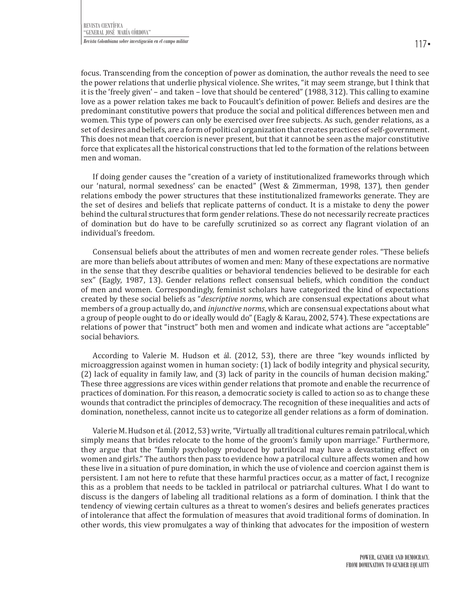focus. Transcending from the conception of power as domination, the author reveals the need to see the power relations that underlie physical violence. She writes, "it may seem strange, but I think that it is the 'freely given' – and taken – love that should be centered" (1988, 312). This calling to examine love as a power relation takes me back to Foucault's definition of power. Beliefs and desires are the predominant constitutive powers that produce the social and political differences between men and women. This type of powers can only be exercised over free subjects. As such, gender relations, as a set of desires and beliefs, are a form of political organization that creates practices of self-government. This does not mean that coercion is never present, but that it cannot be seen as the major constitutive force that explicates all the historical constructions that led to the formation of the relations between men and woman.

If doing gender causes the "creation of a variety of institutionalized frameworks through which our 'natural, normal sexedness' can be enacted" (West & Zimmerman, 1998, 137), then gender relations embody the power structures that these institutionalized frameworks generate. They are the set of desires and beliefs that replicate patterns of conduct. It is a mistake to deny the power behind the cultural structures that form gender relations. These do not necessarily recreate practices of domination but do have to be carefully scrutinized so as correct any flagrant violation of an individual's freedom.

Consensual beliefs about the attributes of men and women recreate gender roles. "These beliefs are more than beliefs about attributes of women and men: Many of these expectations are normative in the sense that they describe qualities or behavioral tendencies believed to be desirable for each sex" (Eagly, 1987, 13). Gender relations reflect consensual beliefs, which condition the conduct of men and women. Correspondingly, feminist scholars have categorized the kind of expectations created by these social beliefs as "*descriptive norms*, which are consensual expectations about what members of a group actually do, and *injunctive norms*, which are consensual expectations about what a group of people ought to do or ideally would do" (Eagly & Karau, 2002, 574). These expectations are relations of power that "instruct" both men and women and indicate what actions are "acceptable" social behaviors.

According to Valerie M. Hudson et ál. (2012, 53), there are three "key wounds inflicted by microaggression against women in human society: (1) lack of bodily integrity and physical security, (2) lack of equality in family law, and (3) lack of parity in the councils of human decision making." These three aggressions are vices within gender relations that promote and enable the recurrence of practices of domination. For this reason, a democratic society is called to action so as to change these wounds that contradict the principles of democracy. The recognition of these inequalities and acts of domination, nonetheless, cannot incite us to categorize all gender relations as a form of domination.

Valerie M. Hudson et ál. (2012, 53) write, "Virtually all traditional cultures remain patrilocal, which simply means that brides relocate to the home of the groom's family upon marriage." Furthermore, they argue that the "family psychology produced by patrilocal may have a devastating effect on women and girls." The authors then pass to evidence how a patrilocal culture affects women and how these live in a situation of pure domination, in which the use of violence and coercion against them is persistent. I am not here to refute that these harmful practices occur, as a matter of fact, I recognize this as a problem that needs to be tackled in patrilocal or patriarchal cultures. What I do want to discuss is the dangers of labeling all traditional relations as a form of domination. I think that the tendency of viewing certain cultures as a threat to women's desires and beliefs generates practices of intolerance that affect the formulation of measures that avoid traditional forms of domination. In other words, this view promulgates a way of thinking that advocates for the imposition of western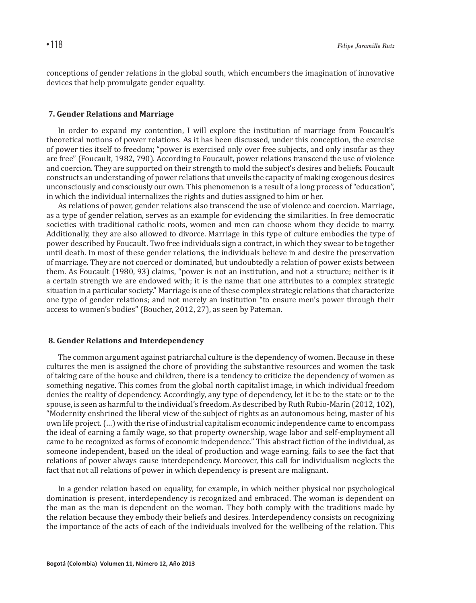conceptions of gender relations in the global south, which encumbers the imagination of innovative devices that help promulgate gender equality.

## **7. Gender Relations and Marriage**

In order to expand my contention, I will explore the institution of marriage from Foucault's theoretical notions of power relations. As it has been discussed, under this conception, the exercise of power ties itself to freedom; "power is exercised only over free subjects, and only insofar as they are free" (Foucault, 1982, 790). According to Foucault, power relations transcend the use of violence and coercion. They are supported on their strength to mold the subject's desires and beliefs. Foucault constructs an understanding of power relations that unveils the capacity of making exogenous desires unconsciously and consciously our own. This phenomenon is a result of a long process of "education", in which the individual internalizes the rights and duties assigned to him or her.

As relations of power, gender relations also transcend the use of violence and coercion. Marriage, as a type of gender relation, serves as an example for evidencing the similarities. In free democratic societies with traditional catholic roots, women and men can choose whom they decide to marry. Additionally, they are also allowed to divorce. Marriage in this type of culture embodies the type of power described by Foucault. Two free individuals sign a contract, in which they swear to be together until death. In most of these gender relations, the individuals believe in and desire the preservation of marriage. They are not coerced or dominated, but undoubtedly a relation of power exists between them. As Foucault (1980, 93) claims, "power is not an institution, and not a structure; neither is it a certain strength we are endowed with; it is the name that one attributes to a complex strategic situation in a particular society." Marriage is one of these complex strategic relations that characterize one type of gender relations; and not merely an institution "to ensure men's power through their access to women's bodies" (Boucher, 2012, 27), as seen by Pateman.

#### **8. Gender Relations and Interdependency**

The common argument against patriarchal culture is the dependency of women. Because in these cultures the men is assigned the chore of providing the substantive resources and women the task of taking care of the house and children, there is a tendency to criticize the dependency of women as something negative. This comes from the global north capitalist image, in which individual freedom denies the reality of dependency. Accordingly, any type of dependency, let it be to the state or to the spouse, is seen as harmful to the individual's freedom. As described by Ruth Rubio-Marín (2012, 102), "Modernity enshrined the liberal view of the subject of rights as an autonomous being, master of his own life project. (…) with the rise of industrial capitalism economic independence came to encompass the ideal of earning a family wage, so that property ownership, wage labor and self-employment all came to be recognized as forms of economic independence." This abstract fiction of the individual, as someone independent, based on the ideal of production and wage earning, fails to see the fact that relations of power always cause interdependency. Moreover, this call for individualism neglects the fact that not all relations of power in which dependency is present are malignant.

In a gender relation based on equality, for example, in which neither physical nor psychological domination is present, interdependency is recognized and embraced. The woman is dependent on the man as the man is dependent on the woman. They both comply with the traditions made by the relation because they embody their beliefs and desires. Interdependency consists on recognizing the importance of the acts of each of the individuals involved for the wellbeing of the relation. This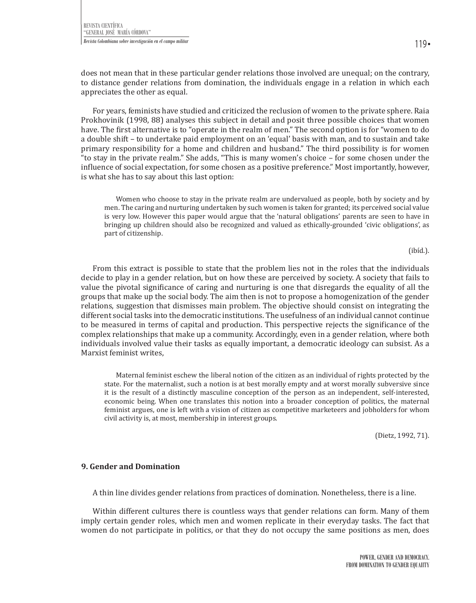does not mean that in these particular gender relations those involved are unequal; on the contrary, to distance gender relations from domination, the individuals engage in a relation in which each appreciates the other as equal.

For years, feminists have studied and criticized the reclusion of women to the private sphere. Raia Prokhovinik (1998, 88) analyses this subject in detail and posit three possible choices that women have. The first alternative is to "operate in the realm of men." The second option is for "women to do a double shift – to undertake paid employment on an 'equal' basis with man, and to sustain and take primary responsibility for a home and children and husband." The third possibility is for women "to stay in the private realm." She adds, "This is many women's choice – for some chosen under the influence of social expectation, for some chosen as a positive preference." Most importantly, however, is what she has to say about this last option:

Women who choose to stay in the private realm are undervalued as people, both by society and by men. The caring and nurturing undertaken by such women is taken for granted; its perceived social value is very low. However this paper would argue that the 'natural obligations' parents are seen to have in bringing up children should also be recognized and valued as ethically-grounded 'civic obligations', as part of citizenship.

(ibíd.).

From this extract is possible to state that the problem lies not in the roles that the individuals decide to play in a gender relation, but on how these are perceived by society. A society that fails to value the pivotal significance of caring and nurturing is one that disregards the equality of all the groups that make up the social body. The aim then is not to propose a homogenization of the gender relations, suggestion that dismisses main problem. The objective should consist on integrating the different social tasks into the democratic institutions. The usefulness of an individual cannot continue to be measured in terms of capital and production. This perspective rejects the significance of the complex relationships that make up a community. Accordingly, even in a gender relation, where both individuals involved value their tasks as equally important, a democratic ideology can subsist. As a Marxist feminist writes,

Maternal feminist eschew the liberal notion of the citizen as an individual of rights protected by the state. For the maternalist, such a notion is at best morally empty and at worst morally subversive since it is the result of a distinctly masculine conception of the person as an independent, self-interested, economic being. When one translates this notion into a broader conception of politics, the maternal feminist argues, one is left with a vision of citizen as competitive marketeers and jobholders for whom civil activity is, at most, membership in interest groups.

(Dietz, 1992, 71).

## **9. Gender and Domination**

A thin line divides gender relations from practices of domination. Nonetheless, there is a line.

Within different cultures there is countless ways that gender relations can form. Many of them imply certain gender roles, which men and women replicate in their everyday tasks. The fact that women do not participate in politics, or that they do not occupy the same positions as men, does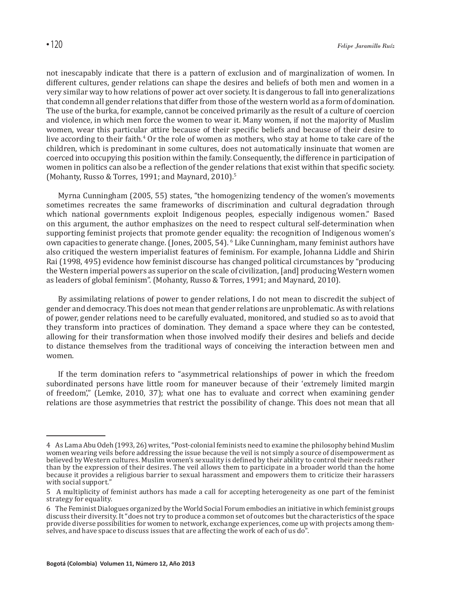not inescapably indicate that there is a pattern of exclusion and of marginalization of women. In different cultures, gender relations can shape the desires and beliefs of both men and women in a very similar way to how relations of power act over society. It is dangerous to fall into generalizations that condemn all gender relations that differ from those of the western world as a form of domination. The use of the burka, for example, cannot be conceived primarily as the result of a culture of coercion and violence, in which men force the women to wear it. Many women, if not the majority of Muslim women, wear this particular attire because of their specific beliefs and because of their desire to live according to their faith.<sup>4</sup> Or the role of women as mothers, who stay at home to take care of the children, which is predominant in some cultures, does not automatically insinuate that women are coerced into occupying this position within the family. Consequently, the difference in participation of women in politics can also be a reflection of the gender relations that exist within that specific society. (Mohanty, Russo & Torres, 1991; and Maynard, 2010).5

Myrna Cunningham (2005, 55) states, "the homogenizing tendency of the women's movements sometimes recreates the same frameworks of discrimination and cultural degradation through which national governments exploit Indigenous peoples, especially indigenous women." Based on this argument, the author emphasizes on the need to respect cultural self-determination when supporting feminist projects that promote gender equality: the recognition of Indigenous women's own capacities to generate change. (Jones, 2005, 54). Clike Cunningham, many feminist authors have also critiqued the western imperialist features of feminism. For example, Johanna Liddle and Shirin Rai (1998, 495) evidence how feminist discourse has changed political circumstances by "producing the Western imperial powers as superior on the scale of civilization, [and] producing Western women as leaders of global feminism". (Mohanty, Russo & Torres, 1991; and Maynard, 2010).

By assimilating relations of power to gender relations, I do not mean to discredit the subject of gender and democracy. This does not mean that gender relations are unproblematic. As with relations of power, gender relations need to be carefully evaluated, monitored, and studied so as to avoid that they transform into practices of domination. They demand a space where they can be contested, allowing for their transformation when those involved modify their desires and beliefs and decide to distance themselves from the traditional ways of conceiving the interaction between men and women.

If the term domination refers to "asymmetrical relationships of power in which the freedom subordinated persons have little room for maneuver because of their 'extremely limited margin of freedom'," (Lemke, 2010, 37); what one has to evaluate and correct when examining gender relations are those asymmetries that restrict the possibility of change. This does not mean that all

<sup>4</sup> As Lama Abu Odeh (1993, 26) writes, "Post-colonial feminists need to examine the philosophy behind Muslim women wearing veils before addressing the issue because the veil is not simply a source of disempowerment as believed by Western cultures. Muslim women's sexuality is defined by their ability to control their needs rather than by the expression of their desires. The veil allows them to participate in a broader world than the home because it provides a religious barrier to sexual harassment and empowers them to criticize their harassers with social support."

<sup>5</sup> A multiplicity of feminist authors has made a call for accepting heterogeneity as one part of the feminist strategy for equality.

<sup>6</sup> The Feminist Dialogues organized by the World Social Forum embodies an initiative in which feminist groups discuss their diversity. It "does not try to produce a common set of outcomes but the characteristics of the space provide diverse possibilities for women to network, exchange experiences, come up with projects among themselves, and have space to discuss issues that are affecting the work of each of us do".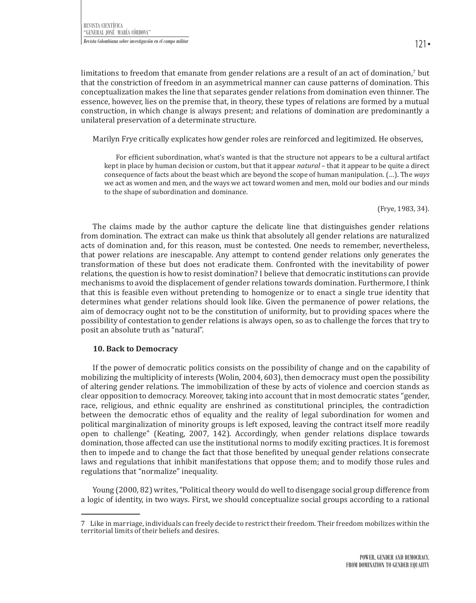limitations to freedom that emanate from gender relations are a result of an act of domination,' but that the constriction of freedom in an asymmetrical manner can cause patterns of domination. This conceptualization makes the line that separates gender relations from domination even thinner. The essence, however, lies on the premise that, in theory, these types of relations are formed by a mutual construction, in which change is always present; and relations of domination are predominantly a unilateral preservation of a determinate structure.

Marilyn Frye critically explicates how gender roles are reinforced and legitimized. He observes,

For efficient subordination, what's wanted is that the structure not appears to be a cultural artifact kept in place by human decision or custom, but that it appear *natural* – that it appear to be quite a direct consequence of facts about the beast which are beyond the scope of human manipulation. (…). The *ways*  we act as women and men, and the ways we act toward women and men, mold our bodies and our minds to the shape of subordination and dominance.

(Frye, 1983, 34).

The claims made by the author capture the delicate line that distinguishes gender relations from domination. The extract can make us think that absolutely all gender relations are naturalized acts of domination and, for this reason, must be contested. One needs to remember, nevertheless, that power relations are inescapable. Any attempt to contend gender relations only generates the transformation of these but does not eradicate them. Confronted with the inevitability of power relations, the question is how to resist domination? I believe that democratic institutions can provide mechanisms to avoid the displacement of gender relations towards domination. Furthermore, I think that this is feasible even without pretending to homogenize or to enact a single true identity that determines what gender relations should look like. Given the permanence of power relations, the aim of democracy ought not to be the constitution of uniformity, but to providing spaces where the possibility of contestation to gender relations is always open, so as to challenge the forces that try to posit an absolute truth as "natural".

### **10. Back to Democracy**

If the power of democratic politics consists on the possibility of change and on the capability of mobilizing the multiplicity of interests (Wolin, 2004, 603), then democracy must open the possibility of altering gender relations. The immobilization of these by acts of violence and coercion stands as clear opposition to democracy. Moreover, taking into account that in most democratic states "gender, race, religious, and ethnic equality are enshrined as constitutional principles, the contradiction between the democratic ethos of equality and the reality of legal subordination for women and political marginalization of minority groups is left exposed, leaving the contract itself more readily open to challenge" (Keating, 2007, 142). Accordingly, when gender relations displace towards domination, those affected can use the institutional norms to modify exciting practices. It is foremost then to impede and to change the fact that those benefited by unequal gender relations consecrate laws and regulations that inhibit manifestations that oppose them; and to modify those rules and regulations that "normalize" inequality.

Young (2000, 82) writes, "Political theory would do well to disengage social group difference from a logic of identity, in two ways. First, we should conceptualize social groups according to a rational

<sup>7</sup> Like in marriage, individuals can freely decide to restrict their freedom. Their freedom mobilizes within the territorial limits of their beliefs and desires.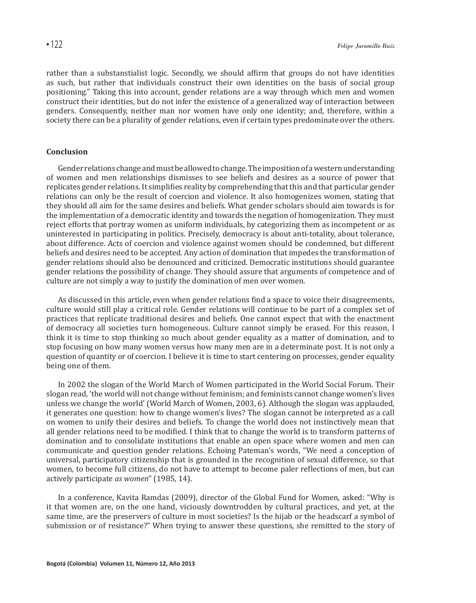rather than a substanstialist logic. Secondly, we should affirm that groups do not have identities as such, but rather that individuals construct their own identities on the basis of social group positioning." Taking this into account, gender relations are a way through which men and women construct their identities, but do not infer the existence of a generalized way of interaction between genders. Consequently, neither man nor women have only one identity; and, therefore, within a society there can be a plurality of gender relations, even if certain types predominate over the others.

## **Conclusion**

Gender relations change and must be allowed to change. The imposition of a western understanding of women and men relationships dismisses to see beliefs and desires as a source of power that replicates gender relations. It simplifies reality by comprehending that this and that particular gender relations can only be the result of coercion and violence. It also homogenizes women, stating that they should all aim for the same desires and beliefs. What gender scholars should aim towards is for the implementation of a democratic identity and towards the negation of homogenization. They must reject efforts that portray women as uniform individuals, by categorizing them as incompetent or as uninterested in participating in politics. Precisely, democracy is about anti-totality, about tolerance, about difference. Acts of coercion and violence against women should be condemned, but different beliefs and desires need to be accepted. Any action of domination that impedes the transformation of gender relations should also be denounced and criticized. Democratic institutions should guarantee gender relations the possibility of change. They should assure that arguments of competence and of culture are not simply a way to justify the domination of men over women.

As discussed in this article, even when gender relations find a space to voice their disagreements, culture would still play a critical role. Gender relations will continue to be part of a complex set of practices that replicate traditional desires and beliefs. One cannot expect that with the enactment of democracy all societies turn homogeneous. Culture cannot simply be erased. For this reason, I think it is time to stop thinking so much about gender equality as a matter of domination, and to stop focusing on how many women versus how many men are in a determinate post. It is not only a question of quantity or of coercion. I believe it is time to start centering on processes, gender equality being one of them.

In 2002 the slogan of the World March of Women participated in the World Social Forum. Their slogan read, 'the world will not change without feminism; and feminists cannot change women's lives unless we change the world' (World March of Women, 2003, 6). Although the slogan was applauded, it generates one question: how to change women's lives? The slogan cannot be interpreted as a call on women to unify their desires and beliefs. To change the world does not instinctively mean that all gender relations need to be modified. I think that to change the world is to transform patterns of domination and to consolidate institutions that enable an open space where women and men can communicate and question gender relations. Echoing Pateman's words, "We need a conception of universal, participatory citizenship that is grounded in the recognition of sexual difference, so that women, to become full citizens, do not have to attempt to become paler reflections of men, but can actively participate *as women*" (1985, 14).

In a conference, Kavita Ramdas (2009), director of the Global Fund for Women, asked: "Why is it that women are, on the one hand, viciously downtrodden by cultural practices, and yet, at the same time, are the preservers of culture in most societies? Is the hijab or the headscarf a symbol of submission or of resistance?" When trying to answer these questions, she remitted to the story of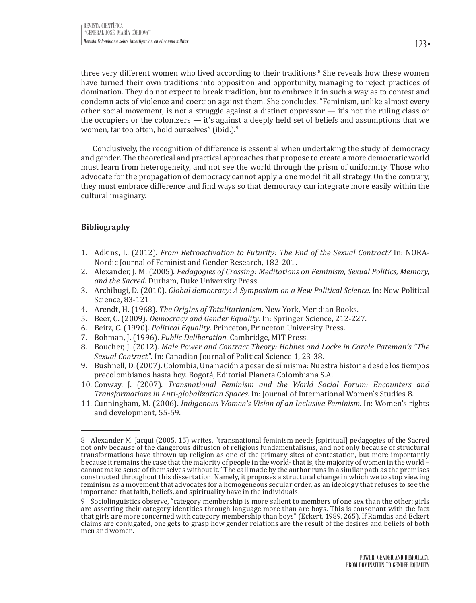three very different women who lived according to their traditions.<sup>8</sup> She reveals how these women have turned their own traditions into opposition and opportunity, managing to reject practices of domination. They do not expect to break tradition, but to embrace it in such a way as to contest and condemn acts of violence and coercion against them. She concludes, "Feminism, unlike almost every other social movement, is not a struggle against a distinct oppressor — it's not the ruling class or the occupiers or the colonizers — it's against a deeply held set of beliefs and assumptions that we women, far too often, hold ourselves" (ibíd.).<sup>9</sup>

Conclusively, the recognition of difference is essential when undertaking the study of democracy and gender. The theoretical and practical approaches that propose to create a more democratic world must learn from heterogeneity, and not see the world through the prism of uniformity. Those who advocate for the propagation of democracy cannot apply a one model fit all strategy. On the contrary, they must embrace difference and find ways so that democracy can integrate more easily within the cultural imaginary.

# **Bibliography**

- 1. Adkins, L. (2012). *From Retroactivation to Futurity: The End of the Sexual Contract?* In: NORA-Nordic Journal of Feminist and Gender Research, 182-201.
- 2. Alexander, J. M. (2005). *Pedagogies of Crossing: Meditations on Feminism, Sexual Politics, Memory, and the Sacred*. Durham, Duke University Press.
- 3. Archibugi, D. (2010). *Global democracy: A Symposium on a New Political Science*. In: New Political Science, 83-121.
- 4. Arendt, H. (1968). *The Origins of Totalitarianism*. New York, Meridian Books.
- 5. Beer, C. (2009). *Democracy and Gender Equality*. In: Springer Science, 212-227.
- 6. Beitz, C. (1990). *Political Equality*. Princeton, Princeton University Press.
- 7. Bohman, J. (1996). *Public Deliberation*. Cambridge, MIT Press.
- 8. Boucher, J. (2012). *Male Power and Contract Theory: Hobbes and Locke in Carole Pateman's "The Sexual Contract"*. In: Canadian Journal of Political Science 1, 23-38.
- 9. Bushnell, D. (2007). Colombia, Una nación a pesar de sí misma: Nuestra historia desde los tiempos precolombianos hasta hoy. Bogotá, Editorial Planeta Colombiana S.A.
- 10. Conway, J. (2007). *Transnational Feminism and the World Social Forum: Encounters and Transformations in Anti-globalization Spaces*. In: Journal of International Women's Studies 8.
- 11. Cunningham, M. (2006). *Indigenous Women's Vision of an Inclusive Feminism.* In: Women's rights and development, 55-59.

<sup>8</sup> Alexander M. Jacqui (2005, 15) writes, "transnational feminism needs [spiritual] pedagogies of the Sacred not only because of the dangerous diffusion of religious fundamentalisms, and not only because of structural transformations have thrown up religion as one of the primary sites of contestation, but more importantly because it remains the case that the majority of people in the world- that is, the majority of women in the world – cannot make sense of themselves without it." The call made by the author runs in a similar path as the premises constructed throughout this dissertation. Namely, it proposes a structural change in which we to stop viewing feminism as a movement that advocates for a homogeneous secular order, as an ideology that refuses to see the importance that faith, beliefs, and spirituality have in the individuals.

<sup>9</sup> Sociolinguistics observe, "category membership is more salient to members of one sex than the other; girls are asserting their category identities through language more than are boys. This is consonant with the fact that girls are more concerned with category membership than boys" (Eckert, 1989, 265). If Ramdas and Eckert claims are conjugated, one gets to grasp how gender relations are the result of the desires and beliefs of both men and women.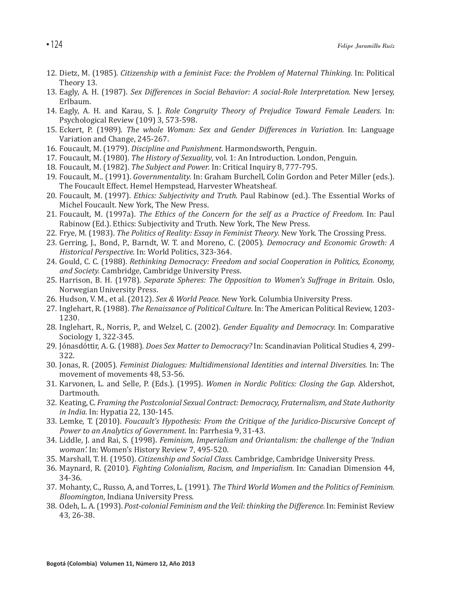- 12. Dietz, M. (1985). *Citizenship with a feminist Face: the Problem of Maternal Thinking.* In: Political Theory 13.
- 13. Eagly, A. H. (1987). *Sex Differences in Social Behavior: A social-Role Interpretation.* New Jersey, Erlbaum.
- 14. Eagly, A. H. and Karau, S. J. *Role Congruity Theory of Prejudice Toward Female Leaders.* In: Psychological Review (109) 3, 573-598.
- 15. Eckert, P. (1989). *The whole Woman: Sex and Gender Differences in Variation.* In: Language Variation and Change, 245-267.
- 16. Foucault, M. (1979). *Discipline and Punishment.* Harmondsworth, Penguin.
- 17. Foucault, M. (1980). *The History of Sexuality*, vol. 1: An Introduction. London, Penguin.
- 18. Foucault, M. (1982). *The Subject and Power.* In: Critical Inquiry 8, 777-795.
- 19. Foucault, M.. (1991). *Governmentality.* In: Graham Burchell, Colin Gordon and Peter Miller (eds.). The Foucault Effect. Hemel Hempstead, Harvester Wheatsheaf.
- 20. Foucault, M. (1997). *Ethics: Subjectivity and Truth.* Paul Rabinow (ed.). The Essential Works of Michel Foucault. New York, The New Press.
- 21. Foucault, M. (1997a). *The Ethics of the Concern for the self as a Practice of Freedom.* In: Paul Rabinow (Ed.). Ethics: Subjectivity and Truth. New York, The New Press.
- 22. Frye, M. (1983). *The Politics of Reality: Essay in Feminist Theory.* New York. The Crossing Press.
- 23. Gerring, J., Bond, P., Barndt, W. T. and Moreno, C. (2005). *Democracy and Economic Growth: A Historical Perspective.* In: World Politics, 323-364.
- 24. Gould, C. C. (1988). *Rethinking Democracy: Freedom and social Cooperation in Politics, Economy, and Society.* Cambridge, Cambridge University Press.
- 25. Harrison, B. H. (1978). *Separate Spheres: The Opposition to Women's Suffrage in Britain.* Oslo, Norwegian University Press.
- 26. Hudson, V. M., et al. (2012). *Sex & World Peace.* New York. Columbia University Press.
- 27. Inglehart, R. (1988). *The Renaissance of Political Culture.* In: The American Political Review, 1203- 1230.
- 28. Inglehart, R., Norris, P., and Welzel, C. (2002). *Gender Equality and Democracy.* In: Comparative Sociology 1, 322-345.
- 29. Jónasdóttir, A. G. (1988). *Does Sex Matter to Democracy?* In: Scandinavian Political Studies 4, 299- 322.
- 30. Jonas, R. (2005). *Feminist Dialogues: Multidimensional Identities and internal Diversities.* In: The movement of movements 48, 53-56.
- 31. Karvonen, L. and Selle, P. (Eds.). (1995). *Women in Nordic Politics: Closing the Gap.* Aldershot, Dartmouth.
- 32. Keating, C. *Framing the Postcolonial Sexual Contract: Democracy, Fraternalism, and State Authority in India.* In: Hypatia 22, 130-145.
- 33. Lemke, T. (2010). *Foucault's Hypothesis: From the Critique of the Juridico-Discursive Concept of Power to an Analytics of Government.* In: Parrhesia 9, 31-43.
- 34. Liddle, J. and Rai, S. (1998). *Feminism, Imperialism and Oriantalism: the challenge of the 'Indian woman'.* In: Women's History Review 7, 495-520.
- 35. Marshall, T. H. (1950). *Citizenship and Social Class.* Cambridge, Cambridge University Press.
- 36. Maynard, R. (2010). *Fighting Colonialism, Racism, and Imperialism.* In: Canadian Dimension 44, 34-36.
- 37. Mohanty, C., Russo, A, and Torres, L. (1991). *The Third World Women and the Politics of Feminism. Bloomington*, Indiana University Press.
- 38. Odeh, L. A. (1993). *Post-colonial Feminism and the Veil: thinking the Difference.* In: Feminist Review 43, 26-38.